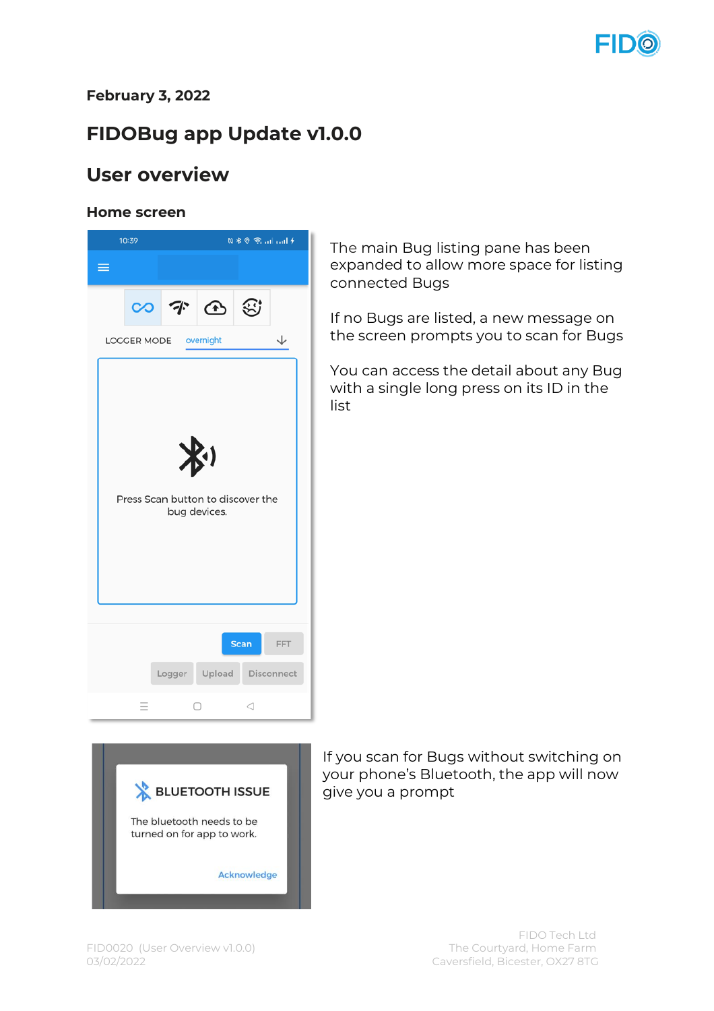

#### **February 3, 2022**

# **FIDOBug app Update v1.0.0**

## **User overview**

#### **Home screen**





If you scan for Bugs without switching on your phone's Bluetooth, the app will now give you a prompt

The main Bug listing pane has been expanded to allow more space for listing

If no Bugs are listed, a new message on the screen prompts you to scan for Bugs

You can access the detail about any Bug with a single long press on its ID in the

connected Bugs

list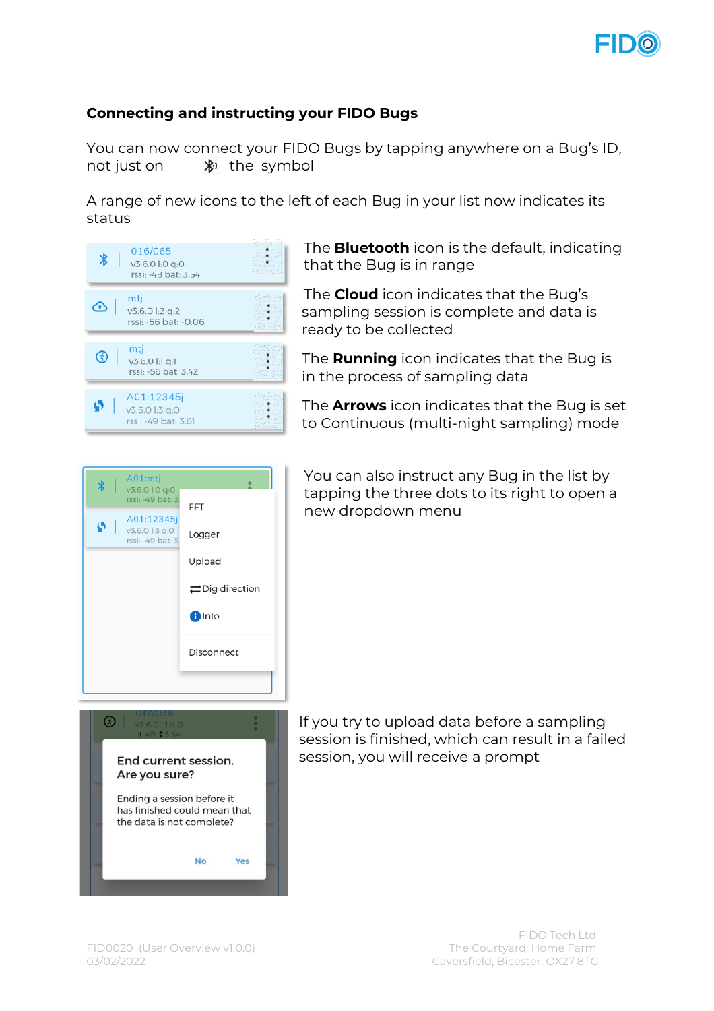

### **Connecting and instructing your FIDO Bugs**

You can now connect your FIDO Bugs by tapping anywhere on a Bug's ID, not just on  $\mathbb{R}^3$  the symbol

A range of new icons to the left of each Bug in your list now indicates its status



The **Bluetooth** icon is the default, indicating that the Bug is in range

The **Cloud** icon indicates that the Bug's sampling session is complete and data is ready to be collected

The **Running** icon indicates that the Bug is in the process of sampling data

The **Arrows** icon indicates that the Bug is set to Continuous (multi-night sampling) mode





You can also instruct any Bug in the list by tapping the three dots to its right to open a

new dropdown menu

If you try to upload data before a sampling session is finished, which can result in a failed session, you will receive a prompt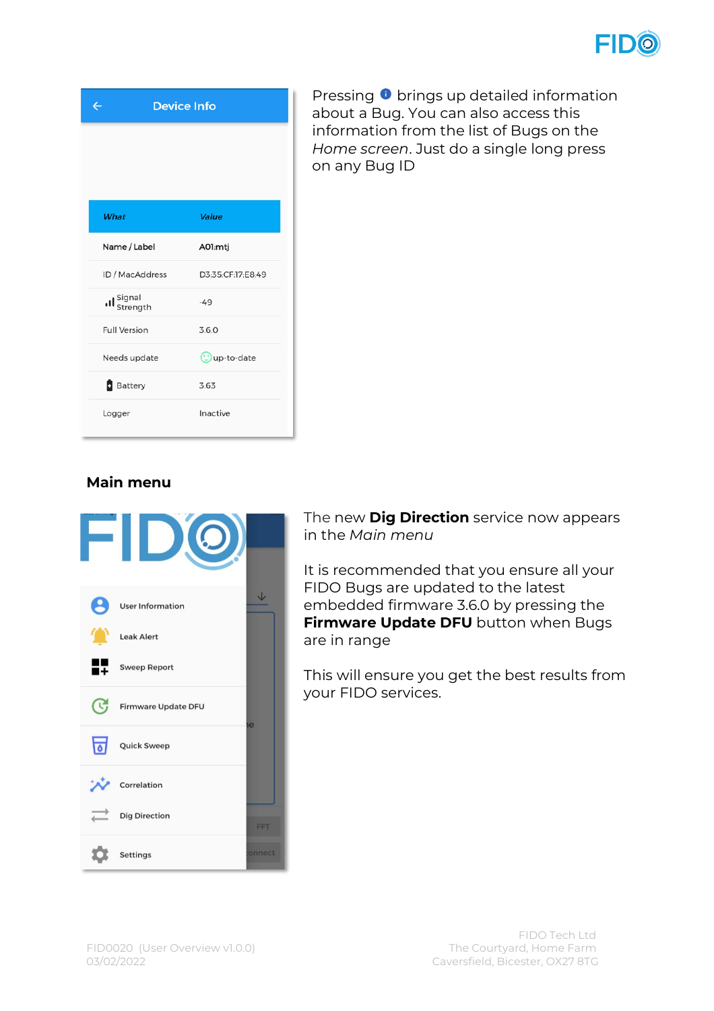

| <b>Device Info</b><br>$\leftarrow$ |                       |  |
|------------------------------------|-----------------------|--|
|                                    |                       |  |
|                                    |                       |  |
| What                               | Value                 |  |
|                                    |                       |  |
| Name / Label                       | A01:mtj               |  |
| ID / MacAddress                    | D3:35:CF:17:E8:49     |  |
| Il Signal<br>Istrength             | $-49$                 |  |
| <b>Full Version</b>                | 3.6.0                 |  |
| Needs update                       | $\bigcirc$ up-to-date |  |
| <b>B</b> Battery                   | 3.63                  |  |
| Logger                             | Inactive              |  |

Pressing  $\bullet$  brings up detailed information about a Bug. You can also access this information from the list of Bugs on the *Home screen*. Just do a single long press on any Bug ID

#### **Main menu**



The new **Dig Direction** service now appears in the *Main menu*

It is recommended that you ensure all your FIDO Bugs are updated to the latest embedded firmware 3.6.0 by pressing the **Firmware Update DFU** button when Bugs are in range

This will ensure you get the best results from your FIDO services.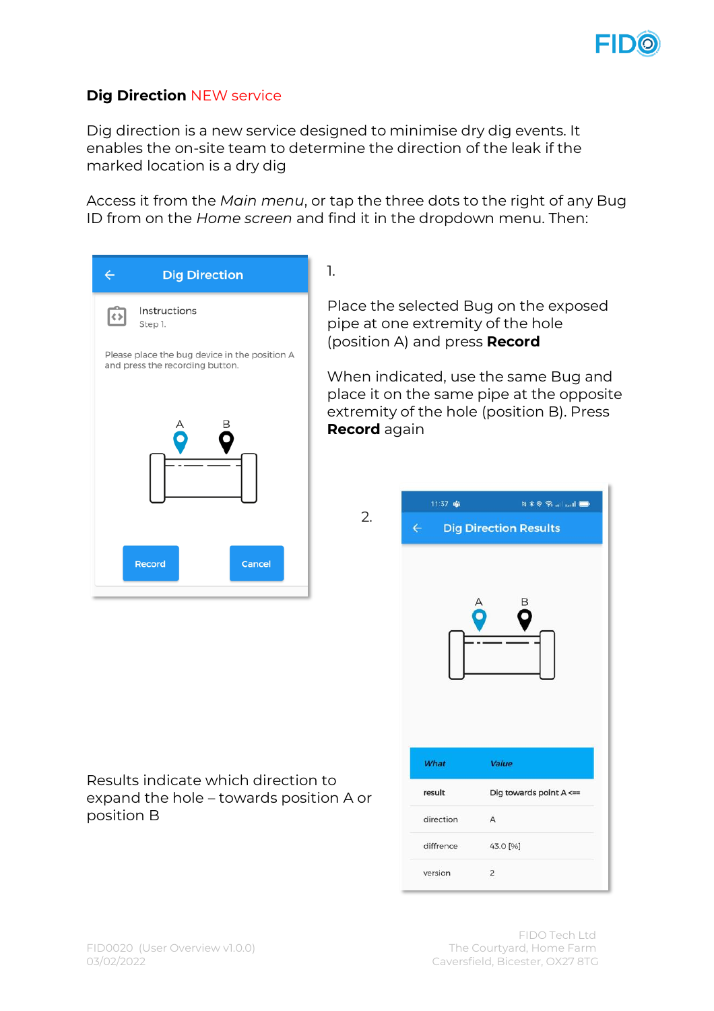

### **Dig Direction** NEW service

Dig direction is a new service designed to minimise dry dig events. It enables the on-site team to determine the direction of the leak if the marked location is a dry dig

Access it from the *Main menu*, or tap the three dots to the right of any Bug ID from on the *Home screen* and find it in the dropdown menu. Then:

2.

| <b>Dig Direction</b>                                                     | 1.                        |
|--------------------------------------------------------------------------|---------------------------|
| Instructions<br>Step 1.<br>Please place the bug device in the position A | Ρl<br>рi<br>(p)           |
| and press the recording button.                                          | W<br>pl<br>ex<br><b>R</b> |
| Record<br>Cancel                                                         |                           |

ace the selected Bug on the exposed pe at one extremity of the hole (position A) and press **Record**

hen indicated, use the same Bug and ace it on the same pipe at the opposite tremity of the hole (position B). Press **ecord** again

| 11:37 嘭      | N * 0 *   1 <b>D</b>         |  |  |
|--------------|------------------------------|--|--|
| $\leftarrow$ | <b>Dig Direction Results</b> |  |  |
|              |                              |  |  |
| What         | Value                        |  |  |
| result       | Dig towards point A <==      |  |  |
| direction    | A                            |  |  |
| diffrence    | 43.0 [%]                     |  |  |
| version      | $\overline{2}$               |  |  |

#### Results indicate which direction to expand the hole – towards position A or position B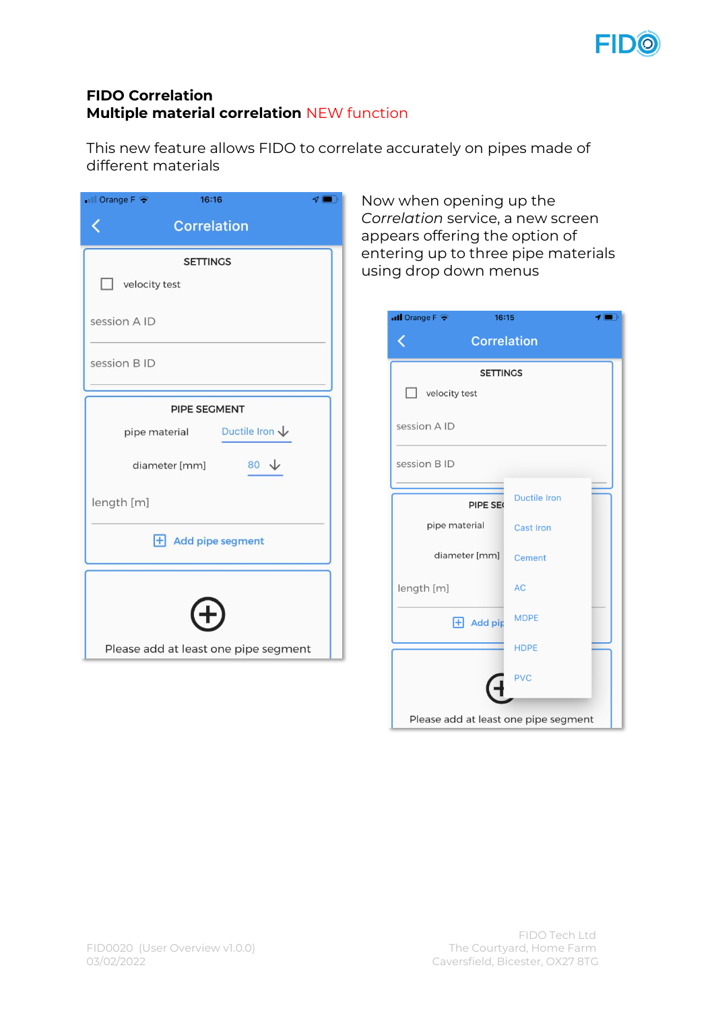

#### **FIDO Correlation Multiple material correlation** NEW function

This new feature allows FIDO to correlate accurately on pipes made of different materials

| $\blacksquare$ Orange F $\blacktriangleright$<br>16:16<br>$\mathcal{P}$ $\blacksquare$ |  |  |
|----------------------------------------------------------------------------------------|--|--|
| <b>Correlation</b>                                                                     |  |  |
| <b>SETTINGS</b>                                                                        |  |  |
| velocity test                                                                          |  |  |
| session A ID                                                                           |  |  |
| session B ID                                                                           |  |  |
| <b>PIPE SEGMENT</b>                                                                    |  |  |
| pipe material Ductile Iron $\sqrt{}$                                                   |  |  |
| diameter [mm]<br>$80\sqrt{ }$                                                          |  |  |
| length [m]                                                                             |  |  |
| <b>+ Add pipe segment</b>                                                              |  |  |
|                                                                                        |  |  |
|                                                                                        |  |  |
| Please add at least one pipe segment                                                   |  |  |

Now when opening up the *Correlation* service, a new screen appears offering the option of entering up to three pipe materials using drop down menus

| $\blacksquare$ Orange F $\widehat{\mathcal{P}}$<br>16:15 | ◀ ∥                 |  |
|----------------------------------------------------------|---------------------|--|
| <b>Correlation</b>                                       |                     |  |
| <b>SETTINGS</b>                                          |                     |  |
| velocity test                                            |                     |  |
| session A ID                                             |                     |  |
| session B ID                                             |                     |  |
| PIPE SE                                                  | <b>Ductile Iron</b> |  |
| pipe material                                            | <b>Cast Iron</b>    |  |
| diameter [mm]                                            | <b>Cement</b>       |  |
| length [m]                                               | <b>AC</b>           |  |
| $H$ Add pip                                              | <b>MDPE</b>         |  |
|                                                          | <b>HDPE</b>         |  |
|                                                          | <b>PVC</b>          |  |
| Please add at least one pipe segment                     |                     |  |